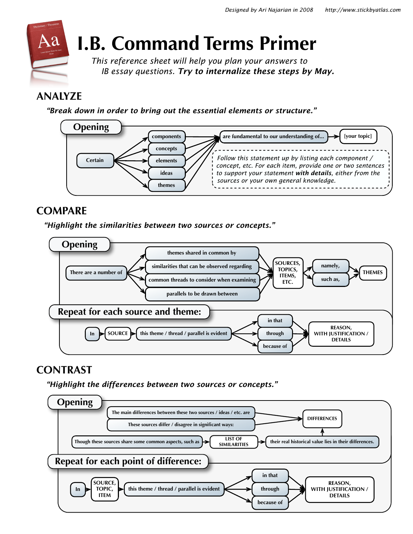

# **I.B. Command Terms Primer**

*This reference sheet will help you plan your answers to IB essay questions. Try to internalize these steps by May.*

# **ANALYZE**

 *"Break down in order to bring out the essential elements or structure."*



# **COMPARE**

 *"Highlight the similarities between two sources or concepts."*



# **CONTRAST**

 *"Highlight the differences between two sources or concepts."* 

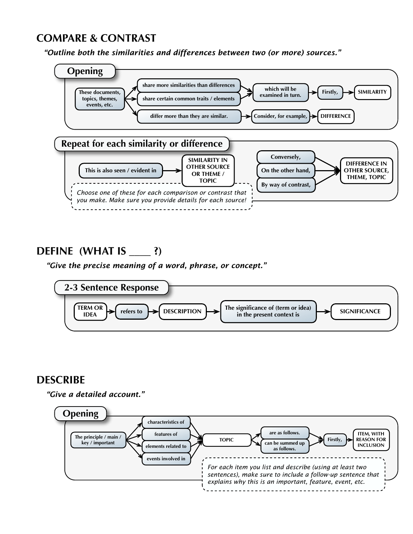# **COMPARE & CONTRAST**

 *"Outline both the similarities and differences between two (or more) sources."*



# **DEFINE (WHAT IS \_\_\_\_ ?)**

 *"Give the precise meaning of a word, phrase, or concept."*



### **DESCRIBE**

 *"Give a detailed account."*

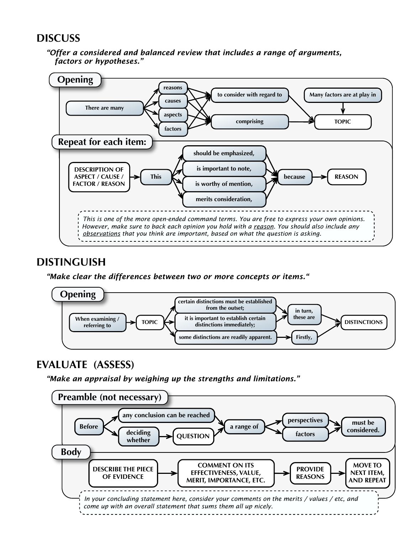### **DISCUSS**

 *"Offer a considered and balanced review that includes a range of arguments, factors or hypotheses."*



### **DISTINGUISH**

#### *"Make clear the differences between two or more concepts or items."*



# **EVALUATE (ASSESS)**

 *"Make an appraisal by weighing up the strengths and limitations."*

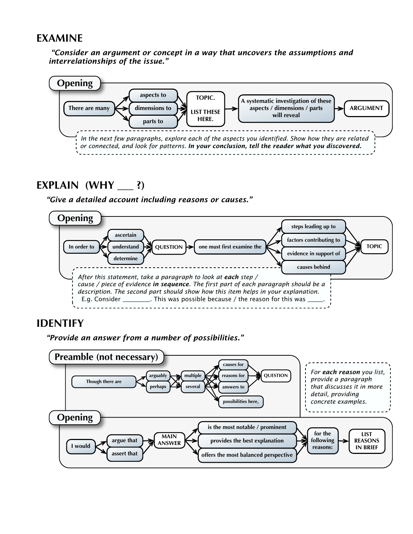### **EXAMINE**

 *"Consider an argument or concept in a way that uncovers the assumptions and interrelationships of the issue."*



### **EXPLAIN (WHY \_\_\_ ?)**

#### *"Give a detailed account including reasons or causes."*



### **IDENTIFY**

 *"Provide an answer from a number of possibilities."*